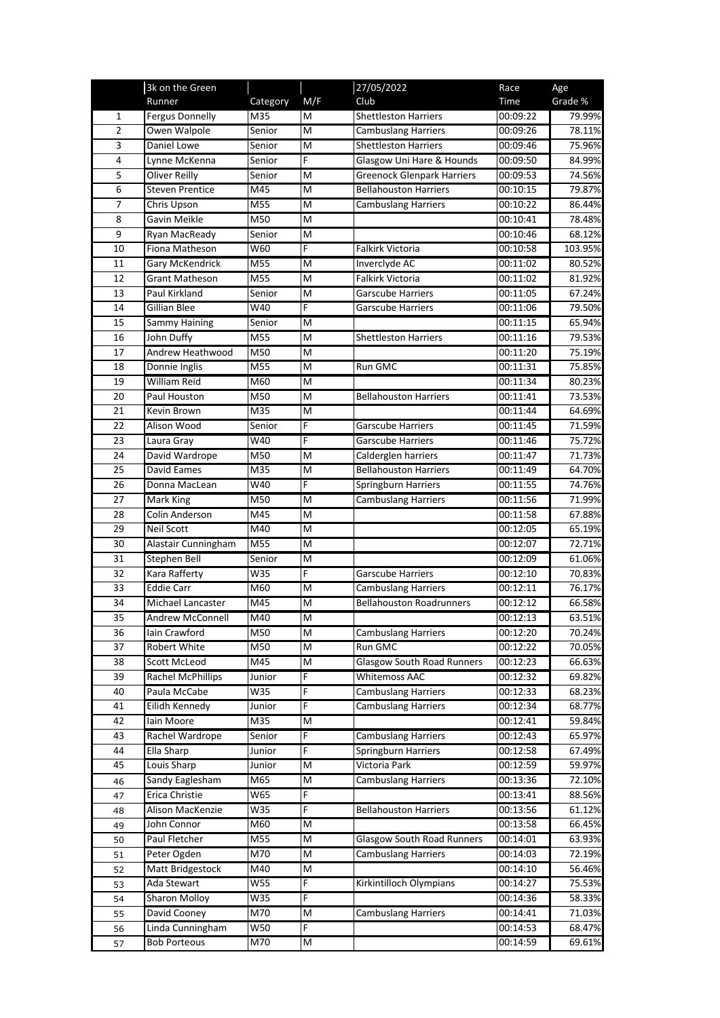|                | 3k on the Green              |                   |        | 27/05/2022                                          | Race                 | Age              |
|----------------|------------------------------|-------------------|--------|-----------------------------------------------------|----------------------|------------------|
|                | Runner                       | Category          | M/F    | Club                                                | Time                 | Grade %          |
| 1              | <b>Fergus Donnelly</b>       | M35               | M      | <b>Shettleston Harriers</b>                         | 00:09:22             | 79.99%           |
| $\overline{2}$ | Owen Walpole                 | Senior            | M      | <b>Cambuslang Harriers</b>                          | 00:09:26             | 78.11%           |
| 3              | Daniel Lowe                  | Senior            | M      | <b>Shettleston Harriers</b>                         | 00:09:46             | 75.96%           |
| $\pmb{4}$      | Lynne McKenna                | Senior            | F      | Glasgow Uni Hare & Hounds                           | 00:09:50             | 84.99%           |
| 5              | Oliver Reilly                | Senior            | M      | <b>Greenock Glenpark Harriers</b>                   | 00:09:53             | 74.56%           |
| $\overline{6}$ | <b>Steven Prentice</b>       | M45               | M      | <b>Bellahouston Harriers</b>                        | 00:10:15             | 79.87%           |
| 7              | Chris Upson                  | M55               | M      | <b>Cambuslang Harriers</b>                          | 00:10:22             | 86.44%           |
| 8              | Gavin Meikle                 | M50               | M      |                                                     | 00:10:41             | 78.48%           |
| 9              | Ryan MacReady                | Senior            | M      |                                                     | 00:10:46             | 68.12%           |
| 10             | Fiona Matheson               | W60               | F      | Falkirk Victoria                                    | 00:10:58             | 103.95%          |
| 11             | Gary McKendrick              | M55               | M      | Inverclyde AC                                       | 00:11:02             | 80.52%           |
| 12             | <b>Grant Matheson</b>        | M55               | M      | Falkirk Victoria                                    | 00:11:02             | 81.92%           |
| 13             | Paul Kirkland                | Senior            | M      | Garscube Harriers                                   | 00:11:05             | 67.24%           |
| 14             | <b>Gillian Blee</b>          | W40               | F      | Garscube Harriers                                   | 00:11:06             | 79.50%           |
| 15             | <b>Sammy Haining</b>         | Senior            | M      |                                                     | 00:11:15             | 65.94%           |
| 16             | John Duffy                   | M55               | M      | <b>Shettleston Harriers</b>                         | 00:11:16             | 79.53%           |
| 17             | Andrew Heathwood             | M50               | M      |                                                     | 00:11:20             | 75.19%           |
| 18             | Donnie Inglis                | M <sub>55</sub>   | M      | Run GMC                                             | 00:11:31             | 75.85%           |
| 19             | <b>William Reid</b>          | M60               | M      |                                                     | 00:11:34             | 80.23%           |
|                | Paul Houston                 | M50               | M      |                                                     | 00:11:41             |                  |
| 20<br>21       | Kevin Brown                  | M35               | M      | <b>Bellahouston Harriers</b>                        | 00:11:44             | 73.53%<br>64.69% |
|                | Alison Wood                  |                   | F      |                                                     |                      | 71.59%           |
| 22             |                              | Senior            | F      | <b>Garscube Harriers</b>                            | 00:11:45             |                  |
| 23<br>24       | Laura Gray<br>David Wardrope | W40<br>M50        | M      | <b>Garscube Harriers</b>                            | 00:11:46<br>00:11:47 | 75.72%<br>71.73% |
|                | David Eames                  |                   |        | Calderglen harriers<br><b>Bellahouston Harriers</b> |                      |                  |
| 25             |                              | M35               | M<br>F |                                                     | 00:11:49             | 64.70%           |
| 26             | Donna MacLean                | W40               |        | <b>Springburn Harriers</b>                          | 00:11:55             | 74.76%           |
| 27<br>28       | Mark King<br>Colin Anderson  | M50<br>M45        | M<br>M | <b>Cambuslang Harriers</b>                          | 00:11:56<br>00:11:58 | 71.99%           |
| 29             | Neil Scott                   | M40               | M      |                                                     | 00:12:05             | 67.88%<br>65.19% |
| 30             | Alastair Cunningham          | M55               | M      |                                                     | 00:12:07             | 72.71%           |
| 31             | <b>Stephen Bell</b>          | Senior            | M      |                                                     | 00:12:09             | 61.06%           |
| 32             | Kara Rafferty                | W35               | F      | Garscube Harriers                                   | 00:12:10             | 70.83%           |
| 33             | <b>Eddie Carr</b>            | M60               | M      | <b>Cambuslang Harriers</b>                          | 00:12:11             | 76.17%           |
| 34             | Michael Lancaster            | M45               | M      | <b>Bellahouston Roadrunners</b>                     | 00:12:12             | 66.58%           |
| 35             | Andrew McConnell             | M40               | M      |                                                     | 00:12:13             | 63.51%           |
| 36             | Iain Crawford                | $\overline{M}$ 50 | M      | <b>Cambuslang Harriers</b>                          | 00:12:20             | 70.24%           |
| 37             | Robert White                 | M50               | M      | Run GMC                                             | 00:12:22             | 70.05%           |
| 38             | <b>Scott McLeod</b>          | M45               | M      | <b>Glasgow South Road Runners</b>                   | 00:12:23             | 66.63%           |
| 39             | <b>Rachel McPhillips</b>     | Junior            | F      | <b>Whitemoss AAC</b>                                | 00:12:32             | 69.82%           |
| 40             | Paula McCabe                 | W35               | F      | <b>Cambuslang Harriers</b>                          | 00:12:33             | 68.23%           |
| 41             | Eilidh Kennedy               | Junior            | F      | <b>Cambuslang Harriers</b>                          | 00:12:34             | 68.77%           |
| 42             | lain Moore                   | M35               | M      |                                                     | 00:12:41             | 59.84%           |
| 43             | Rachel Wardrope              | Senior            | F      | Cambuslang Harriers                                 | 00:12:43             | 65.97%           |
| 44             | Ella Sharp                   | Junior            | F      | Springburn Harriers                                 | 00:12:58             | 67.49%           |
| 45             | Louis Sharp                  | Junior            | M      | Victoria Park                                       | 00:12:59             | 59.97%           |
| 46             | Sandy Eaglesham              | M65               | M      | <b>Cambuslang Harriers</b>                          | 00:13:36             | 72.10%           |
| 47             | Erica Christie               | W65               | F      |                                                     | 00:13:41             | 88.56%           |
| 48             | <b>Alison MacKenzie</b>      | W35               | F      | <b>Bellahouston Harriers</b>                        | 00:13:56             | 61.12%           |
| 49             | John Connor                  | M60               | M      |                                                     | 00:13:58             | 66.45%           |
| 50             | Paul Fletcher                | M55               | M      | <b>Glasgow South Road Runners</b>                   | 00:14:01             | 63.93%           |
| 51             | Peter Ogden                  | M70               | M      | <b>Cambuslang Harriers</b>                          | 00:14:03             | 72.19%           |
| 52             | Matt Bridgestock             | M40               | M      |                                                     | 00:14:10             | 56.46%           |
| 53             | Ada Stewart                  | W55               | F      | Kirkintilloch Olympians                             | 00:14:27             | 75.53%           |
| 54             | <b>Sharon Molloy</b>         | W35               | F      |                                                     | 00:14:36             | 58.33%           |
| 55             | David Cooney                 | M70               | M      | <b>Cambuslang Harriers</b>                          | 00:14:41             | 71.03%           |
| 56             | Linda Cunningham             | W50               | F      |                                                     | 00:14:53             | 68.47%           |
| 57             | <b>Bob Porteous</b>          | M70               | M      |                                                     | 00:14:59             | 69.61%           |
|                |                              |                   |        |                                                     |                      |                  |